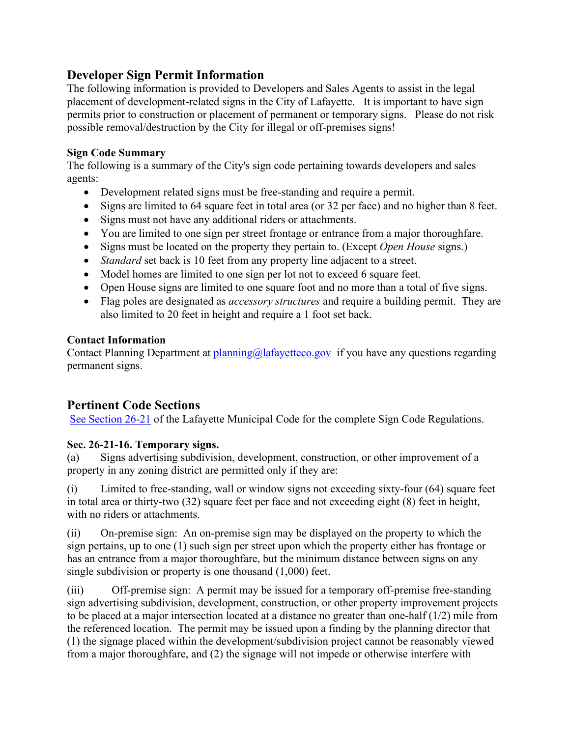# **Developer Sign Permit Information**

The following information is provided to Developers and Sales Agents to assist in the legal placement of development-related signs in the City of Lafayette. It is important to have sign permits prior to construction or placement of permanent or temporary signs. Please do not risk possible removal/destruction by the City for illegal or off-premises signs!

### **Sign Code Summary**

The following is a summary of the City's sign code pertaining towards developers and sales agents:

- Development related signs must be free-standing and require a permit.
- Signs are limited to 64 square feet in total area (or 32 per face) and no higher than 8 feet.
- Signs must not have any additional riders or attachments.
- You are limited to one sign per street frontage or entrance from a major thoroughfare.
- Signs must be located on the property they pertain to. (Except *Open House* signs.)
- *Standard* set back is 10 feet from any property line adjacent to a street.
- Model homes are limited to one sign per lot not to exceed 6 square feet.
- Open House signs are limited to one square foot and no more than a total of five signs.
- Flag poles are designated as *accessory structures* and require a building permit. They are also limited to 20 feet in height and require a 1 foot set back.

#### **Contact Information**

Contact Planning Department at [planning@lafayetteco.gov](mailto:planning@lafayetteco.gov) if you have any questions regarding permanent signs.

# **Pertinent Code Sections**

[See Section 26-21](http://www.municode.com/resources/gateway.asp?pid=10101&sid6) of the Lafayette Municipal Code for the complete Sign Code Regulations.

## **Sec. 26-21-16. Temporary signs.**

(a) Signs advertising subdivision, development, construction, or other improvement of a property in any zoning district are permitted only if they are:

(i) Limited to free-standing, wall or window signs not exceeding sixty-four (64) square feet in total area or thirty-two (32) square feet per face and not exceeding eight (8) feet in height, with no riders or attachments.

(ii) On-premise sign: An on-premise sign may be displayed on the property to which the sign pertains, up to one (1) such sign per street upon which the property either has frontage or has an entrance from a major thoroughfare, but the minimum distance between signs on any single subdivision or property is one thousand (1,000) feet.

(iii) Off-premise sign: A permit may be issued for a temporary off-premise free-standing sign advertising subdivision, development, construction, or other property improvement projects to be placed at a major intersection located at a distance no greater than one-half (1/2) mile from the referenced location. The permit may be issued upon a finding by the planning director that (1) the signage placed within the development/subdivision project cannot be reasonably viewed from a major thoroughfare, and (2) the signage will not impede or otherwise interfere with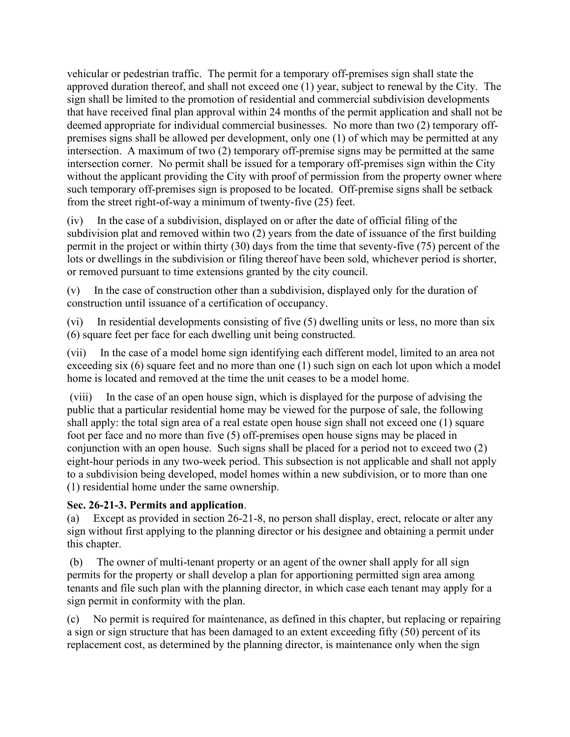vehicular or pedestrian traffic. The permit for a temporary off-premises sign shall state the approved duration thereof, and shall not exceed one (1) year, subject to renewal by the City. The sign shall be limited to the promotion of residential and commercial subdivision developments that have received final plan approval within 24 months of the permit application and shall not be deemed appropriate for individual commercial businesses. No more than two (2) temporary offpremises signs shall be allowed per development, only one (1) of which may be permitted at any intersection. A maximum of two (2) temporary off-premise signs may be permitted at the same intersection corner. No permit shall be issued for a temporary off-premises sign within the City without the applicant providing the City with proof of permission from the property owner where such temporary off-premises sign is proposed to be located. Off-premise signs shall be setback from the street right-of-way a minimum of twenty-five (25) feet.

(iv) In the case of a subdivision, displayed on or after the date of official filing of the subdivision plat and removed within two (2) years from the date of issuance of the first building permit in the project or within thirty (30) days from the time that seventy-five (75) percent of the lots or dwellings in the subdivision or filing thereof have been sold, whichever period is shorter, or removed pursuant to time extensions granted by the city council.

(v) In the case of construction other than a subdivision, displayed only for the duration of construction until issuance of a certification of occupancy.

(vi) In residential developments consisting of five (5) dwelling units or less, no more than six (6) square feet per face for each dwelling unit being constructed.

(vii) In the case of a model home sign identifying each different model, limited to an area not exceeding six (6) square feet and no more than one (1) such sign on each lot upon which a model home is located and removed at the time the unit ceases to be a model home.

(viii) In the case of an open house sign, which is displayed for the purpose of advising the public that a particular residential home may be viewed for the purpose of sale, the following shall apply: the total sign area of a real estate open house sign shall not exceed one (1) square foot per face and no more than five (5) off-premises open house signs may be placed in conjunction with an open house. Such signs shall be placed for a period not to exceed two (2) eight-hour periods in any two-week period. This subsection is not applicable and shall not apply to a subdivision being developed, model homes within a new subdivision, or to more than one (1) residential home under the same ownership.

## **Sec. 26-21-3. Permits and application**.

(a) Except as provided in section 26-21-8, no person shall display, erect, relocate or alter any sign without first applying to the planning director or his designee and obtaining a permit under this chapter.

(b) The owner of multi-tenant property or an agent of the owner shall apply for all sign permits for the property or shall develop a plan for apportioning permitted sign area among tenants and file such plan with the planning director, in which case each tenant may apply for a sign permit in conformity with the plan.

(c) No permit is required for maintenance, as defined in this chapter, but replacing or repairing a sign or sign structure that has been damaged to an extent exceeding fifty (50) percent of its replacement cost, as determined by the planning director, is maintenance only when the sign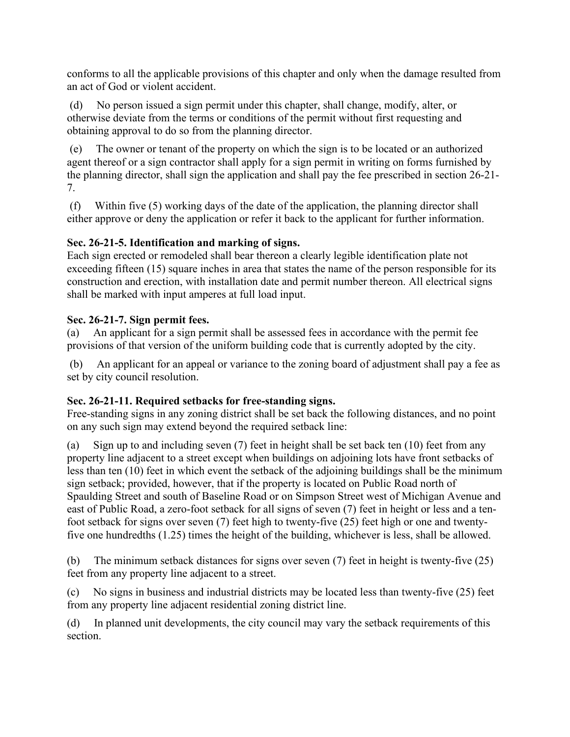conforms to all the applicable provisions of this chapter and only when the damage resulted from an act of God or violent accident.

(d) No person issued a sign permit under this chapter, shall change, modify, alter, or otherwise deviate from the terms or conditions of the permit without first requesting and obtaining approval to do so from the planning director.

(e) The owner or tenant of the property on which the sign is to be located or an authorized agent thereof or a sign contractor shall apply for a sign permit in writing on forms furnished by the planning director, shall sign the application and shall pay the fee prescribed in section 26-21- 7.

(f) Within five (5) working days of the date of the application, the planning director shall either approve or deny the application or refer it back to the applicant for further information.

## **Sec. 26-21-5. Identification and marking of signs.**

Each sign erected or remodeled shall bear thereon a clearly legible identification plate not exceeding fifteen (15) square inches in area that states the name of the person responsible for its construction and erection, with installation date and permit number thereon. All electrical signs shall be marked with input amperes at full load input.

### **Sec. 26-21-7. Sign permit fees.**

(a) An applicant for a sign permit shall be assessed fees in accordance with the permit fee provisions of that version of the uniform building code that is currently adopted by the city.

(b) An applicant for an appeal or variance to the zoning board of adjustment shall pay a fee as set by city council resolution.

## **Sec. 26-21-11. Required setbacks for free-standing signs.**

Free-standing signs in any zoning district shall be set back the following distances, and no point on any such sign may extend beyond the required setback line:

(a) Sign up to and including seven (7) feet in height shall be set back ten (10) feet from any property line adjacent to a street except when buildings on adjoining lots have front setbacks of less than ten (10) feet in which event the setback of the adjoining buildings shall be the minimum sign setback; provided, however, that if the property is located on Public Road north of Spaulding Street and south of Baseline Road or on Simpson Street west of Michigan Avenue and east of Public Road, a zero-foot setback for all signs of seven (7) feet in height or less and a tenfoot setback for signs over seven (7) feet high to twenty-five (25) feet high or one and twentyfive one hundredths (1.25) times the height of the building, whichever is less, shall be allowed.

(b) The minimum setback distances for signs over seven (7) feet in height is twenty-five (25) feet from any property line adjacent to a street.

(c) No signs in business and industrial districts may be located less than twenty-five (25) feet from any property line adjacent residential zoning district line.

(d) In planned unit developments, the city council may vary the setback requirements of this section.